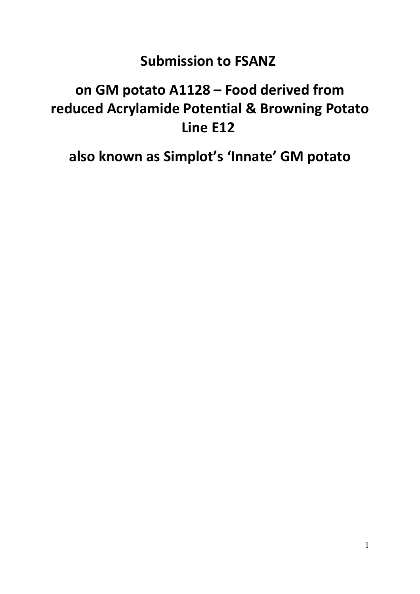# **Submission to FSANZ**

# **on GM potato A1128 – Food derived from reduced Acrylamide Potential & Browning Potato Line E12**

**also known as Simplot's 'Innate' GM potato**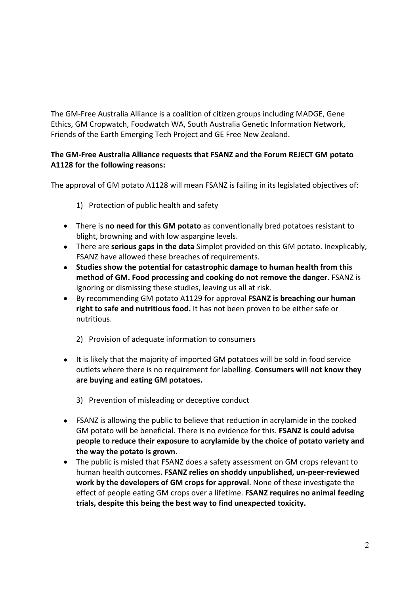The GM-Free Australia Alliance is a coalition of citizen groups including MADGE, Gene Ethics, GM Cropwatch, Foodwatch WA, South Australia Genetic Information Network, Friends of the Earth Emerging Tech Project and GE Free New Zealand.

# **The GM-Free Australia Alliance requests that FSANZ and the Forum REJECT GM potato A1128 for the following reasons:**

The approval of GM potato A1128 will mean FSANZ is failing in its legislated objectives of:

- 1) Protection of public health and safety
- There is **no need for this GM potato** as conventionally bred potatoes resistant to blight, browning and with low aspargine levels.
- There are **serious gaps in the data** Simplot provided on this GM potato. Inexplicably, FSANZ have allowed these breaches of requirements.
- **Studies show the potential for catastrophic damage to human health from this method of GM. Food processing and cooking do not remove the danger.** FSANZ is ignoring or dismissing these studies, leaving us all at risk.
- By recommending GM potato A1129 for approval **FSANZ is breaching our human right to safe and nutritious food.** It has not been proven to be either safe or nutritious.
	- 2) Provision of adequate information to consumers
- It is likely that the majority of imported GM potatoes will be sold in food service outlets where there is no requirement for labelling. **Consumers will not know they are buying and eating GM potatoes.** 
	- 3) Prevention of misleading or deceptive conduct
- FSANZ is allowing the public to believe that reduction in acrylamide in the cooked GM potato will be beneficial. There is no evidence for this. **FSANZ is could advise people to reduce their exposure to acrylamide by the choice of potato variety and the way the potato is grown.**
- The public is misled that FSANZ does a safety assessment on GM crops relevant to human health outcomes**. FSANZ relies on shoddy unpublished, un-peer-reviewed work by the developers of GM crops for approval**. None of these investigate the effect of people eating GM crops over a lifetime. **FSANZ requires no animal feeding trials, despite this being the best way to find unexpected toxicity.**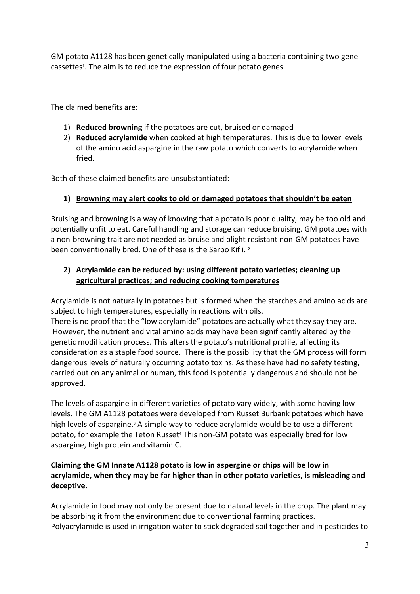GM potato A1128 has been genetically manipulated using a bacteria containing two gene cassettes<sup>1</sup>. The aim is to reduce the expression of four potato genes.

The claimed benefits are:

- 1) **Reduced browning** if the potatoes are cut, bruised or damaged
- 2) **Reduced acrylamide** when cooked at high temperatures. This is due to lower levels of the amino acid aspargine in the raw potato which converts to acrylamide when fried.

Both of these claimed benefits are unsubstantiated:

# **1) Browning may alert cooks to old or damaged potatoes that shouldn't be eaten**

Bruising and browning is a way of knowing that a potato is poor quality, may be too old and potentially unfit to eat. Careful handling and storage can reduce bruising. GM potatoes with a non-browning trait are not needed as bruise and blight resistant non-GM potatoes have been conventionally bred. One of these is the Sarpo Kifli.<sup>2</sup>

# **2) Acrylamide can be reduced by: using different potato varieties; cleaning up agricultural practices; and reducing cooking temperatures**

Acrylamide is not naturally in potatoes but is formed when the starches and amino acids are subject to high temperatures, especially in reactions with oils.

There is no proof that the "low acrylamide" potatoes are actually what they say they are. However, the nutrient and vital amino acids may have been significantly altered by the genetic modification process. This alters the potato's nutritional profile, affecting its consideration as a staple food source. There is the possibility that the GM process will form dangerous levels of naturally occurring potato toxins. As these have had no safety testing, carried out on any animal or human, this food is potentially dangerous and should not be approved.

The levels of aspargine in different varieties of potato vary widely, with some having low levels. The GM A1128 potatoes were developed from Russet Burbank potatoes which have high levels of aspargine.<sup>3</sup> A simple way to reduce acrylamide would be to use a different potato, for example the Teton Russet<sup>4</sup> This non-GM potato was especially bred for low aspargine, high protein and vitamin C.

# **Claiming the GM Innate A1128 potato is low in aspergine or chips will be low in acrylamide, when they may be far higher than in other potato varieties, is misleading and deceptive.**

Acrylamide in food may not only be present due to natural levels in the crop. The plant may be absorbing it from the environment due to conventional farming practices. Polyacrylamide is used in irrigation water to stick degraded soil together and in pesticides to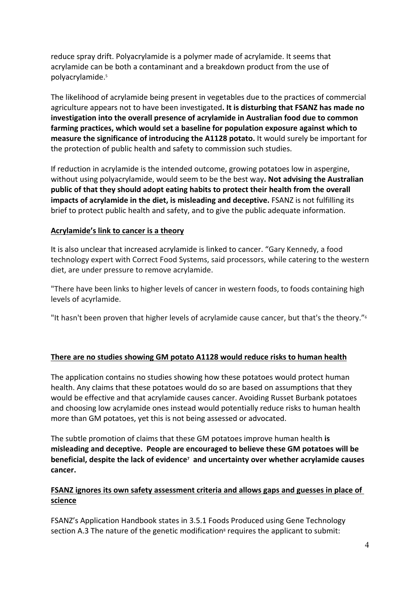reduce spray drift. Polyacrylamide is a polymer made of acrylamide. It seems that acrylamide can be both a contaminant and a breakdown product from the use of polyacrylamide.<sup>5</sup>

The likelihood of acrylamide being present in vegetables due to the practices of commercial agriculture appears not to have been investigated**. It is disturbing that FSANZ has made no investigation into the overall presence of acrylamide in Australian food due to common farming practices, which would set a baseline for population exposure against which to measure the significance of introducing the A1128 potato.** It would surely be important for the protection of public health and safety to commission such studies.

If reduction in acrylamide is the intended outcome, growing potatoes low in aspergine, without using polyacrylamide, would seem to be the best way**. Not advising the Australian public of that they should adopt eating habits to protect their health from the overall impacts of acrylamide in the diet, is misleading and deceptive.** FSANZ is not fulfilling its brief to protect public health and safety, and to give the public adequate information.

#### **Acrylamide's link to cancer is a theory**

It is also unclear that increased acrylamide is linked to cancer. "Gary Kennedy, a food technology expert with Correct Food Systems, said processors, while catering to the western diet, are under pressure to remove acrylamide.

"There have been links to higher levels of cancer in western foods, to foods containing high levels of acyrlamide.

"It hasn't been proven that higher levels of acrylamide cause cancer, but that's the theory."<sup>6</sup>

#### **There are no studies showing GM potato A1128 would reduce risks to human health**

The application contains no studies showing how these potatoes would protect human health. Any claims that these potatoes would do so are based on assumptions that they would be effective and that acrylamide causes cancer. Avoiding Russet Burbank potatoes and choosing low acrylamide ones instead would potentially reduce risks to human health more than GM potatoes, yet this is not being assessed or advocated.

The subtle promotion of claims that these GM potatoes improve human health **is misleading and deceptive. People are encouraged to believe these GM potatoes will be beneficial, despite the lack of evidence<sup>7</sup> and uncertainty over whether acrylamide causes cancer.**

# **FSANZ ignores its own safety assessment criteria and allows gaps and guesses in place of science**

FSANZ's Application Handbook states in 3.5.1 Foods Produced using Gene Technology section A.3 The nature of the genetic modification<sup>8</sup> requires the applicant to submit: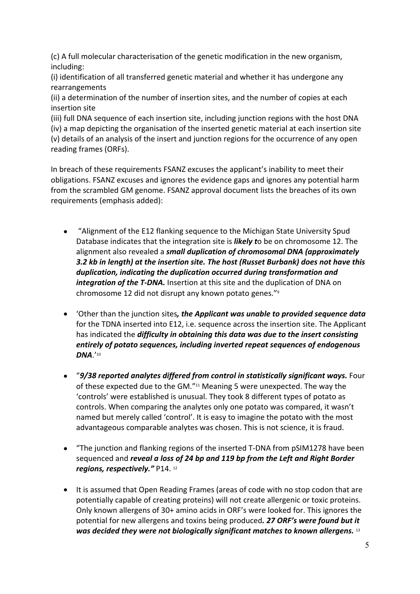(c) A full molecular characterisation of the genetic modification in the new organism, including:

(i) identification of all transferred genetic material and whether it has undergone any rearrangements

(ii) a determination of the number of insertion sites, and the number of copies at each insertion site

(iii) full DNA sequence of each insertion site, including junction regions with the host DNA (iv) a map depicting the organisation of the inserted genetic material at each insertion site (v) details of an analysis of the insert and junction regions for the occurrence of any open reading frames (ORFs).

In breach of these requirements FSANZ excuses the applicant's inability to meet their obligations. FSANZ excuses and ignores the evidence gaps and ignores any potential harm from the scrambled GM genome. FSANZ approval document lists the breaches of its own requirements (emphasis added):

- "Alignment of the E12 flanking sequence to the Michigan State University Spud Database indicates that the integration site is *likely t*o be on chromosome 12. The alignment also revealed a *small duplication of chromosomal DNA (approximately 3.2 kb in length) at the insertion site. The host (Russet Burbank) does not have this duplication, indicating the duplication occurred during transformation and integration of the T-DNA.* Insertion at this site and the duplication of DNA on chromosome 12 did not disrupt any known potato genes."<sup>9</sup>
- 'Other than the junction sites*, the Applicant was unable to provided sequence data* for the TDNA inserted into E12, i.e. sequence across the insertion site. The Applicant has indicated the *difficulty in obtaining this data was due to the insert consisting entirely of potato sequences, including inverted repeat sequences of endogenous DNA*.'<sup>10</sup>
- "*9/38 reported analytes differed from control in statistically significant ways.* Four of these expected due to the GM."11 Meaning 5 were unexpected. The way the 'controls' were established is unusual. They took 8 different types of potato as controls. When comparing the analytes only one potato was compared, it wasn't named but merely called 'control'. It is easy to imagine the potato with the most advantageous comparable analytes was chosen. This is not science, it is fraud.
- "The junction and flanking regions of the inserted T-DNA from pSIM1278 have been sequenced and *reveal a loss of 24 bp and 119 bp from the Left and Right Border regions, respectively."* P14. <sup>12</sup>
- It is assumed that Open Reading Frames (areas of code with no stop codon that are potentially capable of creating proteins) will not create allergenic or toxic proteins. Only known allergens of 30+ amino acids in ORF's were looked for. This ignores the potential for new allergens and toxins being produced*. 27 ORF's were found but it was decided they were not biologically significant matches to known allergens.* <sup>13</sup>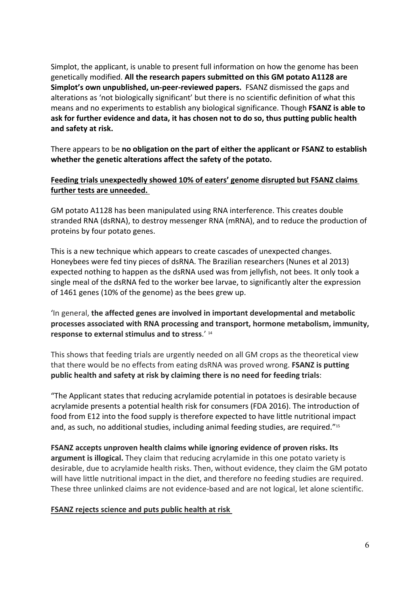Simplot, the applicant, is unable to present full information on how the genome has been genetically modified. **All the research papers submitted on this GM potato A1128 are Simplot's own unpublished, un-peer-reviewed papers.** FSANZ dismissed the gaps and alterations as 'not biologically significant' but there is no scientific definition of what this means and no experiments to establish any biological significance. Though **FSANZ is able to ask for further evidence and data, it has chosen not to do so, thus putting public health and safety at risk.**

There appears to be **no obligation on the part of either the applicant or FSANZ to establish whether the genetic alterations affect the safety of the potato.** 

# **Feeding trials unexpectedly showed 10% of eaters' genome disrupted but FSANZ claims further tests are unneeded.**

GM potato A1128 has been manipulated using RNA interference. This creates double stranded RNA (dsRNA), to destroy messenger RNA (mRNA), and to reduce the production of proteins by four potato genes.

This is a new technique which appears to create cascades of unexpected changes. Honeybees were fed tiny pieces of dsRNA. The Brazilian researchers (Nunes et al 2013) expected nothing to happen as the dsRNA used was from jellyfish, not bees. It only took a single meal of the dsRNA fed to the worker bee larvae, to significantly alter the expression

of 1461 genes (10% of the genome) as the bees grew up.<br>'In general, **the affected genes are involved in important developmental and metabolic processes associated with RNA processing and transport, hormone metabolism, immunity, response to external stimulus and to stress**.' <sup>14</sup>

This shows that feeding trials are urgently needed on all GM crops as the theoretical view that there would be no effects from eating dsRNA was proved wrong. **FSANZ is putting public health and safety at risk by claiming there is no need for feeding trials**:

"The Applicant states that reducing acrylamide potential in potatoes is desirable because acrylamide presents a potential health risk for consumers (FDA 2016). The introduction of food from E12 into the food supply is therefore expected to have little nutritional impact and, as such, no additional studies, including animal feeding studies, are required."<sup>15</sup>

**FSANZ accepts unproven health claims while ignoring evidence of proven risks. Its argument is illogical.** They claim that reducing acrylamide in this one potato variety is desirable, due to acrylamide health risks. Then, without evidence, they claim the GM potato will have little nutritional impact in the diet, and therefore no feeding studies are required. These three unlinked claims are not evidence-based and are not logical, let alone scientific.

#### **FSANZ rejects science and puts public health at risk**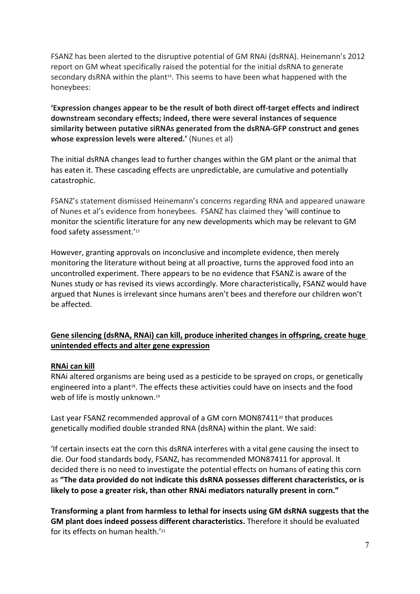FSANZ has been alerted to the disruptive potential of GM RNAi (dsRNA). Heinemann's 2012 report on GM wheat specifically raised the potential for the initial dsRNA to generate secondary dsRNA within the plant<sup>16</sup>. This seems to have been what happened with the honeybees:

**'Expression changes appear to be the result of both direct off-target effects and indirect downstream secondary effects; indeed, there were several instances of sequence similarity between putative siRNAs generated from the dsRNA-GFP construct and genes whose expression levels were altered.'** (Nunes et al)

The initial dsRNA changes lead to further changes within the GM plant or the animal that has eaten it. These cascading effects are unpredictable, are cumulative and potentially catastrophic.

FSANZ's statement dismissed Heinemann's concerns regarding RNA and appeared unaware of Nunes et al's evidence from honeybees. FSANZ has claimed they 'will continue to monitor the scientific literature for any new developments which may be relevant to GM food safety assessment.'<sup>17</sup>

However, granting approvals on inconclusive and incomplete evidence, then merely monitoring the literature without being at all proactive, turns the approved food into an uncontrolled experiment. There appears to be no evidence that FSANZ is aware of the Nunes study or has revised its views accordingly. More characteristically, FSANZ would have argued that Nunes is irrelevant since humans aren't bees and therefore our children won't be affected.

# **Gene silencing (dsRNA, RNAi) can kill, produce inherited changes in offspring, create huge unintended effects and alter gene expression**

#### **RNAi can kill**

RNAi altered organisms are being used as a pesticide to be sprayed on crops, or genetically engineered into a plant<sup>18</sup>. The effects these activities could have on insects and the food web of life is mostly unknown.<sup>19</sup>

Last year FSANZ recommended approval of a GM corn MON87411<sup>20</sup> that produces genetically modified double stranded RNA (dsRNA) within the plant. We said:

'If certain insects eat the corn this dsRNA interferes with a vital gene causing the insect to die. Our food standards body, FSANZ, has recommended MON87411 for approval. It decided there is no need to investigate the potential effects on humans of eating this corn as **"The data provided do not indicate this dsRNA possesses different characteristics, or is likely to pose a greater risk, than other RNAi mediators naturally present in corn."**

**Transforming a plant from harmless to lethal for insects using GM dsRNA suggests that the GM plant does indeed possess different characteristics.** Therefore it should be evaluated for its effects on human health  $21$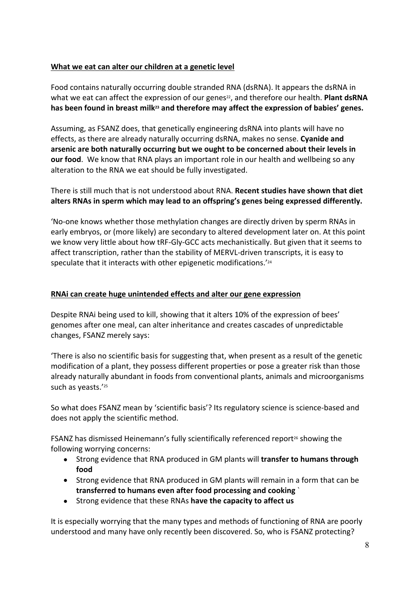# **What we eat can alter our children at a genetic level**

Food contains naturally occurring double stranded RNA (dsRNA). It appears the dsRNA in what we eat can affect the expression of our genes<sup>22</sup>, and therefore our health. **Plant dsRNA has been found in breast milk23 and therefore may affect the expression of babies' genes.**

Assuming, as FSANZ does, that genetically engineering dsRNA into plants will have no effects, as there are already naturally occurring dsRNA, makes no sense. **Cyanide and arsenic are both naturally occurring but we ought to be concerned about their levels in our food**. We know that RNA plays an important role in our health and wellbeing so any alteration to the RNA we eat should be fully investigated.

There is still much that is not understood about RNA. **Recent studies have shown that diet alters RNAs in sperm which may lead to an offspring's genes being expressed differently.** 

'No-one knows whether those methylation changes are directly driven by sperm RNAs in early embryos, or (more likely) are secondary to altered development later on. At this point we know very little about how tRF-Gly-GCC acts mechanistically. But given that it seems to affect transcription, rather than the stability of MERVL-driven transcripts, it is easy to speculate that it interacts with other epigenetic modifications.'<sup>24</sup>

#### **RNAi can create huge unintended effects and alter our gene expression**

Despite RNAi being used to kill, showing that it alters 10% of the expression of bees' genomes after one meal, can alter inheritance and creates cascades of unpredictable changes, FSANZ merely says:

'There is also no scientific basis for suggesting that, when present as a result of the genetic modification of a plant, they possess different properties or pose a greater risk than those already naturally abundant in foods from conventional plants, animals and microorganisms such as yeasts.'<sup>25</sup>

So what does FSANZ mean by 'scientific basis'? Its regulatory science is science-based and does not apply the scientific method.

FSANZ has dismissed Heinemann's fully scientifically referenced report<sup>26</sup> showing the following worrying concerns:

- Strong evidence that RNA produced in GM plants will **transfer to humans through food**
- Strong evidence that RNA produced in GM plants will remain in a form that can be **transferred to humans even after food processing and cooking** `
- Strong evidence that these RNAs **have the capacity to affect us**

It is especially worrying that the many types and methods of functioning of RNA are poorly understood and many have only recently been discovered. So, who is FSANZ protecting?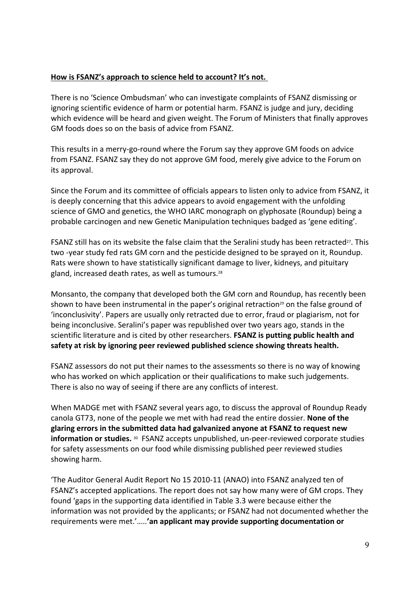#### **How is FSANZ's approach to science held to account? It's not.**

There is no 'Science Ombudsman' who can investigate complaints of FSANZ dismissing or ignoring scientific evidence of harm or potential harm. FSANZ is judge and jury, deciding which evidence will be heard and given weight. The Forum of Ministers that finally approves GM foods does so on the basis of advice from FSANZ.

This results in a merry-go-round where the Forum say they approve GM foods on advice from FSANZ. FSANZ say they do not approve GM food, merely give advice to the Forum on its approval.

Since the Forum and its committee of officials appears to listen only to advice from FSANZ, it is deeply concerning that this advice appears to avoid engagement with the unfolding science of GMO and genetics, the WHO IARC monograph on glyphosate (Roundup) being a probable carcinogen and new Genetic Manipulation techniques badged as 'gene editing'.

FSANZ still has on its website the false claim that the Seralini study has been retracted<sup>27</sup>. This two -year study fed rats GM corn and the pesticide designed to be sprayed on it, Roundup. Rats were shown to have statistically significant damage to liver, kidneys, and pituitary gland, increased death rates, as well as tumours.<sup>28</sup>

Monsanto, the company that developed both the GM corn and Roundup, has recently been shown to have been instrumental in the paper's original retraction<sup>29</sup> on the false ground of 'inconclusivity'. Papers are usually only retracted due to error, fraud or plagiarism, not for being inconclusive. Seralini's paper was republished over two years ago, stands in the scientific literature and is cited by other researchers. **FSANZ is putting public health and safety at risk by ignoring peer reviewed published science showing threats health.** 

FSANZ assessors do not put their names to the assessments so there is no way of knowing who has worked on which application or their qualifications to make such judgements. There is also no way of seeing if there are any conflicts of interest.

When MADGE met with FSANZ several years ago, to discuss the approval of Roundup Ready canola GT73, none of the people we met with had read the entire dossier. **None of the glaring errors in the submitted data had galvanized anyone at FSANZ to request new information or studies.** 30 FSANZ accepts unpublished, un-peer-reviewed corporate studies for safety assessments on our food while dismissing published peer reviewed studies showing harm.

'The Auditor General Audit Report No 15 2010-11 (ANAO) into FSANZ analyzed ten of FSANZ's accepted applications. The report does not say how many were of GM crops. They found 'gaps in the supporting data identified in Table 3.3 were because either the information was not provided by the applicants; or FSANZ had not documented whether the requirements were met.'…..**'an applicant may provide supporting documentation or**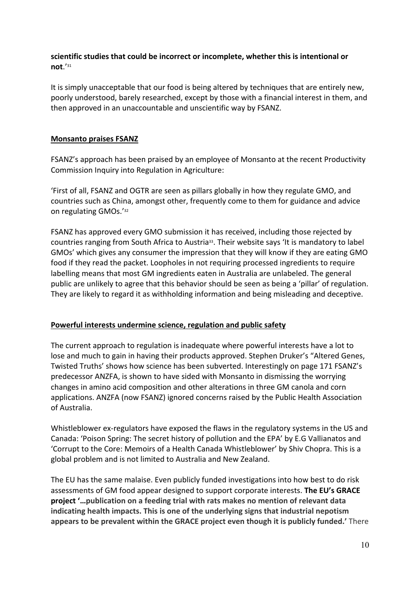#### **scientific studies that could be incorrect or incomplete, whether this is intentional or not**.'<sup>31</sup>

It is simply unacceptable that our food is being altered by techniques that are entirely new, poorly understood, barely researched, except by those with a financial interest in them, and then approved in an unaccountable and unscientific way by FSANZ.

#### **Monsanto praises FSANZ**

FSANZ's approach has been praised by an employee of Monsanto at the recent Productivity Commission Inquiry into Regulation in Agriculture:

'First of all, FSANZ and OGTR are seen as pillars globally in how they regulate GMO, and countries such as China, amongst other, frequently come to them for guidance and advice on regulating GMOs.'<sup>32</sup>

FSANZ has approved every GMO submission it has received, including those rejected by countries ranging from South Africa to Austria<sup>33</sup>. Their website says 'It is mandatory to label GMOs' which gives any consumer the impression that they will know if they are eating GMO food if they read the packet. Loopholes in not requiring processed ingredients to require labelling means that most GM ingredients eaten in Australia are unlabeled. The general public are unlikely to agree that this behavior should be seen as being a 'pillar' of regulation. They are likely to regard it as withholding information and being misleading and deceptive.

#### **Powerful interests undermine science, regulation and public safety**

The current approach to regulation is inadequate where powerful interests have a lot to lose and much to gain in having their products approved. Stephen Druker's "Altered Genes, Twisted Truths' shows how science has been subverted. Interestingly on page 171 FSANZ's predecessor ANZFA, is shown to have sided with Monsanto in dismissing the worrying changes in amino acid composition and other alterations in three GM canola and corn applications. ANZFA (now FSANZ) ignored concerns raised by the Public Health Association of Australia.

Whistleblower ex-regulators have exposed the flaws in the regulatory systems in the US and Canada: 'Poison Spring: The secret history of pollution and the EPA' by E.G Vallianatos and 'Corrupt to the Core: Memoirs of a Health Canada Whistleblower' by Shiv Chopra. This is a global problem and is not limited to Australia and New Zealand.

The EU has the same malaise. Even publicly funded investigations into how best to do risk assessments of GM food appear designed to support corporate interests. **The EU's GRACE project '…publication on a feeding trial with rats makes no mention of relevant data indicating health impacts. This is one of the underlying signs that industrial nepotism appears to be prevalent within the GRACE project even though it is publicly funded.'** There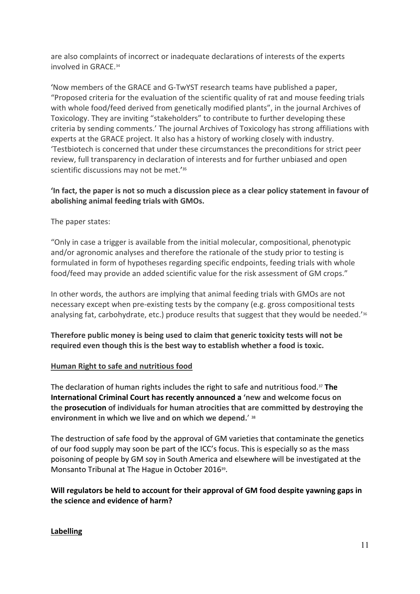are also complaints of incorrect or inadequate declarations of interests of the experts involved in GRACE.<sup>34</sup>

'Now members of the GRACE and G-TwYST research teams have published a paper, "Proposed criteria for the evaluation of the scientific quality of rat and mouse feeding trials with whole food/feed derived from genetically modified plants", in the journal Archives of Toxicology. They are inviting "stakeholders" to contribute to further developing these criteria by sending comments.' The journal Archives of Toxicology has strong affiliations with experts at the GRACE project. It also has a history of working closely with industry. 'Testbiotech is concerned that under these circumstances the preconditions for strict peer review, full transparency in declaration of interests and for further unbiased and open scientific discussions may not be met.<sup>'35</sup>

#### **'In fact, the paper is not so much a discussion piece as a clear policy statement in favour of abolishing animal feeding trials with GMOs.**

The paper states:

"Only in case a trigger is available from the initial molecular, compositional, phenotypic and/or agronomic analyses and therefore the rationale of the study prior to testing is formulated in form of hypotheses regarding specific endpoints, feeding trials with whole food/feed may provide an added scientific value for the risk assessment of GM crops."

In other words, the authors are implying that animal feeding trials with GMOs are not necessary except when pre-existing tests by the company (e.g. gross compositional tests analysing fat, carbohydrate, etc.) produce results that suggest that they would be needed.'<sup>36</sup>

**Therefore public money is being used to claim that generic toxicity tests will not be required even though this is the best way to establish whether a food is toxic.**

#### **Human Right to safe and nutritious food**

The declaration of human rights includes the right to safe and nutritious food.<sup>37</sup> **The International Criminal Court has recently announced a 'new and welcome focus on the prosecution of individuals for human atrocities that are committed by destroying the environment in which we live and on which we depend.**' <sup>38</sup>

The destruction of safe food by the approval of GM varieties that contaminate the genetics of our food supply may soon be part of the ICC's focus. This is especially so as the mass poisoning of people by GM soy in South America and elsewhere will be investigated at the Monsanto Tribunal at The Hague in October 2016<sup>39</sup>.

# **Will regulators be held to account for their approval of GM food despite yawning gaps in the science and evidence of harm?**

#### **Labelling**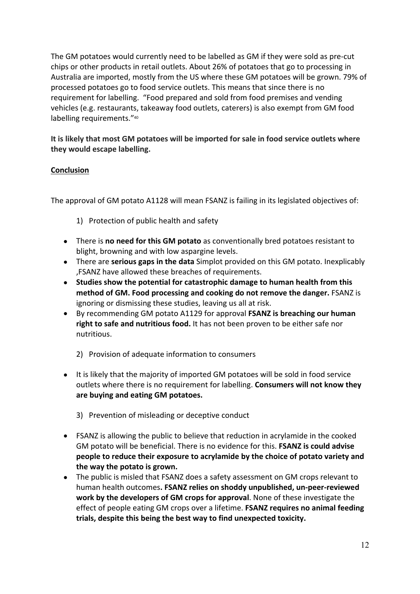The GM potatoes would currently need to be labelled as GM if they were sold as pre-cut chips or other products in retail outlets. About 26% of potatoes that go to processing in Australia are imported, mostly from the US where these GM potatoes will be grown. 79% of processed potatoes go to food service outlets. This means that since there is no requirement for labelling. "Food prepared and sold from food premises and vending vehicles (e.g. restaurants, takeaway food outlets, caterers) is also exempt from GM food labelling requirements."<sup>40</sup>

**It is likely that most GM potatoes will be imported for sale in food service outlets where they would escape labelling.** 

#### **Conclusion**

The approval of GM potato A1128 will mean FSANZ is failing in its legislated objectives of:

- 1) Protection of public health and safety
- There is **no need for this GM potato** as conventionally bred potatoes resistant to blight, browning and with low aspargine levels.
- There are **serious gaps in the data** Simplot provided on this GM potato. Inexplicably ,FSANZ have allowed these breaches of requirements.
- **Studies show the potential for catastrophic damage to human health from this method of GM. Food processing and cooking do not remove the danger.** FSANZ is ignoring or dismissing these studies, leaving us all at risk.
- By recommending GM potato A1129 for approval **FSANZ is breaching our human right to safe and nutritious food.** It has not been proven to be either safe nor nutritious.
	- 2) Provision of adequate information to consumers
- It is likely that the majority of imported GM potatoes will be sold in food service outlets where there is no requirement for labelling. **Consumers will not know they are buying and eating GM potatoes.** 
	- 3) Prevention of misleading or deceptive conduct
- FSANZ is allowing the public to believe that reduction in acrylamide in the cooked GM potato will be beneficial. There is no evidence for this. **FSANZ is could advise people to reduce their exposure to acrylamide by the choice of potato variety and the way the potato is grown.**
- The public is misled that FSANZ does a safety assessment on GM crops relevant to human health outcomes**. FSANZ relies on shoddy unpublished, un-peer-reviewed work by the developers of GM crops for approval**. None of these investigate the effect of people eating GM crops over a lifetime. **FSANZ requires no animal feeding trials, despite this being the best way to find unexpected toxicity.**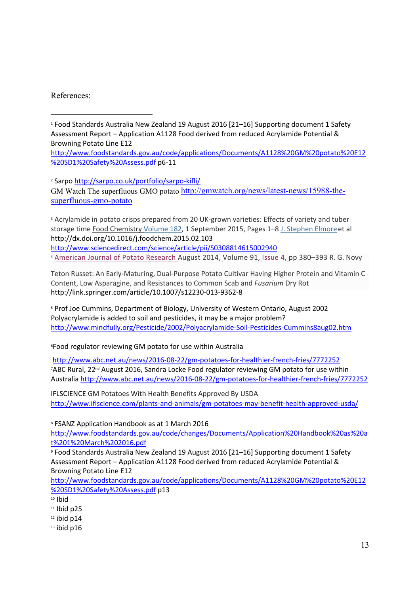References:

1 Food Standards Australia New Zealand 19 August 2016 [21–16] Supporting document 1 Safety Assessment Report – Application A1128 Food derived from reduced Acrylamide Potential & Browning Potato Line E12

[http://www.foodstandards.gov.au/code/applications/Documents/A1128%20GM%20potato%20E12](http://www.foodstandards.gov.au/code/applications/Documents/A1128%20GM%20potato%20E12%20SD1%20Safety%20Assess.pdf) [%20SD1%20Safety%20Assess.pdf](http://www.foodstandards.gov.au/code/applications/Documents/A1128%20GM%20potato%20E12%20SD1%20Safety%20Assess.pdf) p6-11

<sup>2</sup> Sarpo <u>http://sarpo.co.uk/portfolio/sarpo-kifli/</u>

GM Watch The superfluous GMO potato [http://gmwatch.org/news/latest-news/15988-the](http://gmwatch.org/news/latest-news/15988-the-superfluous-gmo-potato)[superfluous-gmo-potato](http://gmwatch.org/news/latest-news/15988-the-superfluous-gmo-potato)

<sup>3</sup> Acrylamide in potato crisps prepared from 20 UK-grown varieties: Effects of variety and tuber storage time [Food Chemistry](http://www.sciencedirect.com/science/journal/03088146) [Volume 182](http://www.sciencedirect.com/science/journal/03088146/182/supp/C), 1 September 2015, Pages 1–8 [J. Stephen Elmore](http://www.sciencedirect.com/science/article/pii/S0308814615002940)et al http://dx.doi.org/10.1016/j.foodchem.2015.02.103

<http://www.sciencedirect.com/science/article/pii/S0308814615002940> <sup>4</sup> [American](http://link.springer.com/journal/12230) Journal of Potato Research August 2014, Volume 91, [Issue](http://link.springer.com/journal/12230/91/4/page/1) 4, pp 380–393 R. G. Novy

Teton Russet: An Early-Maturing, Dual-Purpose Potato Cultivar Having Higher Protein and Vitamin C Content, Low Asparagine, and Resistances to Common Scab and *Fusarium* Dry Rot http://link.springer.com/article/10.1007/s12230-013-9362-8

5 Prof Joe Cummins, Department of Biology, University of Western Ontario, August 2002 Polyacrylamide is added to soil and pesticides, it may be a major problem? <http://www.mindfully.org/Pesticide/2002/Polyacrylamide-Soil-Pesticides-Cummins8aug02.htm>

<sup>6</sup>Food regulator reviewing GM potato for use within Australia

<http://www.abc.net.au/news/2016-08-22/gm-potatoes-for-healthier-french-fries/7772252> 7ABC Rural, 22<sup>nd</sup> August 2016, Sandra Locke Food regulator reviewing GM potato for use within Australia <http://www.abc.net.au/news/2016-08-22/gm-potatoes-for-healthier-french-fries/7772252>

IFLSCIENCE GM Potatoes With Health Benefits Approved By USDA <http://www.iflscience.com/plants-and-animals/gm-potatoes-may-benefit-health-approved-usda/>

8 FSANZ Application Handbook as at 1 March 2016

[http://www.foodstandards.gov.au/code/changes/Documents/Application%20Handbook%20as%20a](http://www.foodstandards.gov.au/code/changes/Documents/Application%20Handbook%20as%20at%201%20March%202016.pdf) [t%201%20March%202016.pdf](http://www.foodstandards.gov.au/code/changes/Documents/Application%20Handbook%20as%20at%201%20March%202016.pdf)

9 Food Standards Australia New Zealand 19 August 2016 [21–16] Supporting document 1 Safety Assessment Report – Application A1128 Food derived from reduced Acrylamide Potential & Browning Potato Line E12

[http://www.foodstandards.gov.au/code/applications/Documents/A1128%20GM%20potato%20E12](http://www.foodstandards.gov.au/code/applications/Documents/A1128%20GM%20potato%20E12%20SD1%20Safety%20Assess.pdf) [%20SD1%20Safety%20Assess.pdf](http://www.foodstandards.gov.au/code/applications/Documents/A1128%20GM%20potato%20E12%20SD1%20Safety%20Assess.pdf) p13

- <sup>10</sup> Ibid
- $11$  Ibid p25
- $12$  ibid p14
- $13$  ibid p16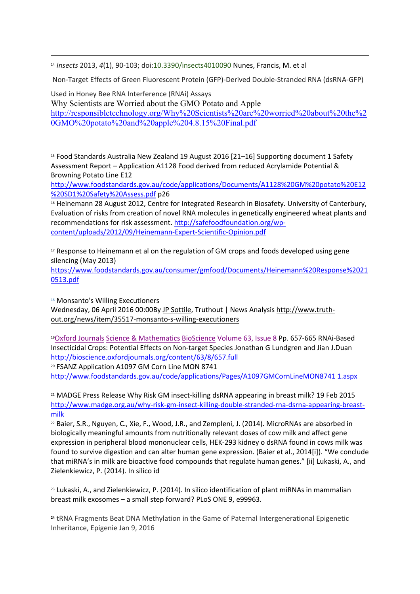<sup>14</sup> *Insects* 2013, *4*(1), 90-103; doi[:10.3390/insects4010090](http://dx.doi.org/10.3390/insects4010090) Nunes, Francis, M. et al

Non-Target Effects of Green Fluorescent Protein (GFP)-Derived Double-Stranded RNA (dsRNA-GFP)

Used in Honey Bee RNA Interference (RNAi) Assays Why Scientists are Worried about the GMO Potato and Apple [http://responsibletechnology.org/Why%20Scientists%20are%20worried%20about%20the%2](http://responsibletechnology.org/Why%20Scientists%20are%20worried%20about%20the%20GMO%20potato%20and%20apple%204.8.15%20Final.pdf) [0GMO%20potato%20and%20apple%204.8.15%20Final.pdf](http://responsibletechnology.org/Why%20Scientists%20are%20worried%20about%20the%20GMO%20potato%20and%20apple%204.8.15%20Final.pdf)

<sup>15</sup> Food Standards Australia New Zealand 19 August 2016 [21–16] Supporting document 1 Safety Assessment Report – Application A1128 Food derived from reduced Acrylamide Potential & Browning Potato Line E12

[http://www.foodstandards.gov.au/code/applications/Documents/A1128%20GM%20potato%20E12](http://www.foodstandards.gov.au/code/applications/Documents/A1128%20GM%20potato%20E12%20SD1%20Safety%20Assess.pdf) [%20SD1%20Safety%20Assess.pdf](http://www.foodstandards.gov.au/code/applications/Documents/A1128%20GM%20potato%20E12%20SD1%20Safety%20Assess.pdf) p26

16 Heinemann 28 August 2012, Centre for Integrated Research in Biosafety. University of Canterbury, Evaluation of risks from creation of novel RNA molecules in genetically engineered wheat plants and recommendations for risk assessment. [http://safefoodfoundation.org/wp](http://safefoodfoundation.org/wp-content/uploads/2012/09/Heinemann-Expert-Scientific-Opinion.pdf)[content/uploads/2012/09/Heinemann-Expert-Scientific-Opinion.pdf](http://safefoodfoundation.org/wp-content/uploads/2012/09/Heinemann-Expert-Scientific-Opinion.pdf)

<sup>17</sup> Response to Heinemann et al on the regulation of GM crops and foods developed using gene silencing (May 2013)

[https://www.foodstandards.gov.au/consumer/gmfood/Documents/Heinemann%20Response%2021](https://www.foodstandards.gov.au/consumer/gmfood/Documents/Heinemann%20Response%20210513.pdf) [0513.pdf](https://www.foodstandards.gov.au/consumer/gmfood/Documents/Heinemann%20Response%20210513.pdf)

<sup>18</sup> Monsanto's Willing Executioners Wednesday, 06 April 2016 00:00By [JP Sottile,](http://www.truth-out.org/author/itemlist/user/48272) Truthout | News Analysis [http://www.truth](http://www.truth-out.org/news/item/35517-monsanto-s-willing-executioners)[out.org/news/item/35517-monsanto-s-willing-executioners](http://www.truth-out.org/news/item/35517-monsanto-s-willing-executioners)

<sup>19</sup>[Oxford Journals](http://services.oxfordjournals.org/cgi/tslogin?url=http%3A%2F%2Fwww.oxfordjournals.org) [Science & Mathematics](http://www.oxfordjournals.org/subject/mathematics/) [BioScience](http://bioscience.oxfordjournals.org/) [Volume 63, Issue 8](http://bioscience.oxfordjournals.org/content/63/8.toc) Pp. 657-665 RNAi-Based Insecticidal Crops: Potential Effects on Non-target Species Jonathan G Lundgren and Jian J.Duan <http://bioscience.oxfordjournals.org/content/63/8/657.full> <sup>20</sup> FSANZ Application A1097 GM Corn Line MON 8741

[http://www.foodstandards.gov.au/code/applications/Pages/A1097GMCornLineMON8741 1.aspx](http://www.foodstandards.gov.au/code/applications/Pages/A1097GMCornLineMON8741%201.aspx)

<sup>21</sup> MADGE Press Release Why Risk GM insect-killing dsRNA appearing in breast milk? 19 Feb 2015 [http://www.madge.org.au/why-risk-gm-insect-killing-double-stranded-rna-dsrna-appearing-breast](http://www.madge.org.au/why-risk-gm-insect-killing-double-stranded-rna-dsrna-appearing-breast-milk)[milk](http://www.madge.org.au/why-risk-gm-insect-killing-double-stranded-rna-dsrna-appearing-breast-milk)

<sup>22</sup> Baier, S.R., Nguyen, C., Xie, F., Wood, J.R., and Zempleni, J. (2014). MicroRNAs are absorbed in biologically meaningful amounts from nutritionally relevant doses of cow milk and affect gene expression in peripheral blood mononuclear cells, HEK-293 kidney o dsRNA found in cows milk was found to survive digestion and can alter human gene expression. (Baier et al., 2014[i]). "We conclude that miRNA's in milk are bioactive food compounds that regulate human genes." [ii] Lukaski, A., and Zielenkiewicz, P. (2014). In silico id

<sup>23</sup> Lukaski, A., and Zielenkiewicz, P. (2014). In silico identification of plant miRNAs in mammalian breast milk exosomes – a small step forward? PLoS ONE 9, e99963.

**<sup>24</sup>** tRNA Fragments Beat DNA Methylation in the Game of Paternal Intergenerational Epigenetic Inheritance, Epigenie Jan 9, 2016